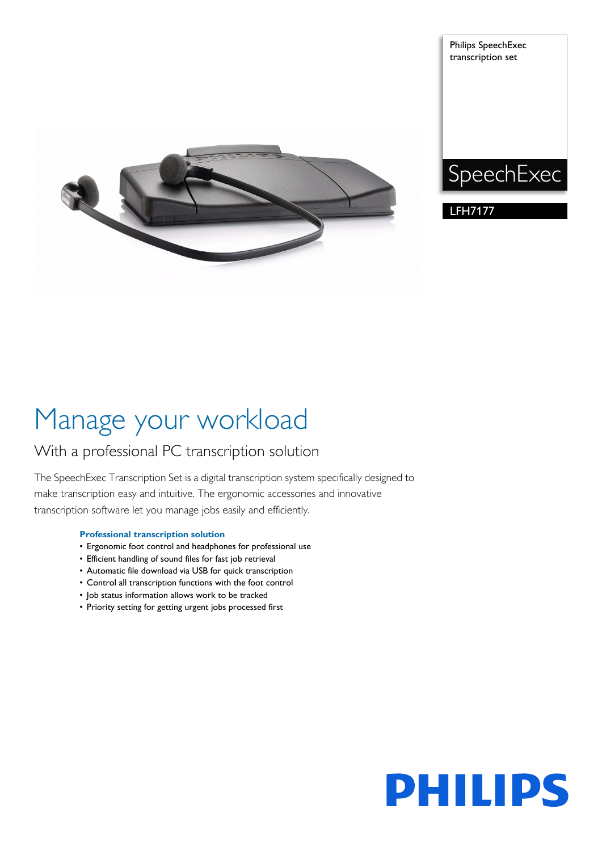

Philips SpeechExec transcription set



LFH7177

# Manage your workload

## With a professional PC transcription solution

The SpeechExec Transcription Set is a digital transcription system specifically designed to make transcription easy and intuitive. The ergonomic accessories and innovative transcription software let you manage jobs easily and efficiently.

### **Professional transcription solution**

- Ergonomic foot control and headphones for professional use
- Efficient handling of sound files for fast job retrieval
- Automatic file download via USB for quick transcription
- Control all transcription functions with the foot control
- Job status information allows work to be tracked
- Priority setting for getting urgent jobs processed first